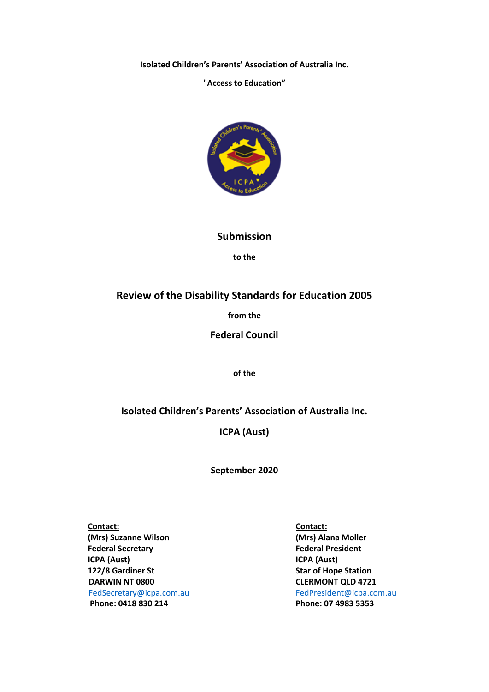**Isolated Children's Parents' Association of Australia Inc.**

### **"Access to Education"**



## **Submission**

**to the**

# **Review of the Disability Standards for Education 2005**

**from the**

**Federal Council**

**of the**

## **Isolated Children's Parents' Association of Australia Inc.**

**ICPA (Aust)**

**September 2020**

 **Contact: Contact: (Mrs) Suzanne Wilson (Mrs) Alana Moller Federal Secretary Federal President ICPA (Aust) ICPA (Aust) 122/8 Gardiner St** Star of Hope Station **DARWIN NT 0800 CLERMONT QLD 4721**  [FedSecretary@icpa.com.au](mailto:FedSecretary@icpa.com.au)[FedPresident@icpa.com.au](mailto:FedPresident@icpa.com.au)   **Phone: 0418 830 214 Phone: 07 4983 5353**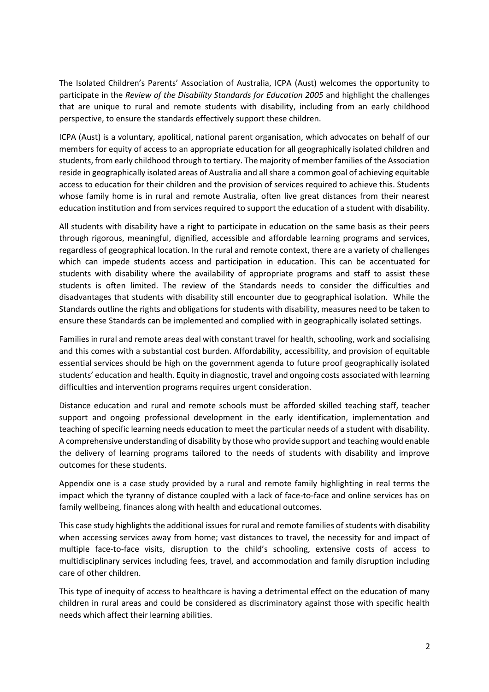The Isolated Children's Parents' Association of Australia, ICPA (Aust) welcomes the opportunity to participate in the *Review of the Disability Standards for Education 2005* and highlight the challenges that are unique to rural and remote students with disability, including from an early childhood perspective, to ensure the standards effectively support these children.

ICPA (Aust) is a voluntary, apolitical, national parent organisation, which advocates on behalf of our members for equity of access to an appropriate education for all geographically isolated children and students, from early childhood through to tertiary. The majority of member families of the Association reside in geographically isolated areas of Australia and all share a common goal of achieving equitable access to education for their children and the provision of services required to achieve this. Students whose family home is in rural and remote Australia, often live great distances from their nearest education institution and from services required to support the education of a student with disability.

All students with disability have a right to participate in education on the same basis as their peers through rigorous, meaningful, dignified, accessible and affordable learning programs and services, regardless of geographical location. In the rural and remote context, there are a variety of challenges which can impede students access and participation in education. This can be accentuated for students with disability where the availability of appropriate programs and staff to assist these students is often limited. The review of the Standards needs to consider the difficulties and disadvantages that students with disability still encounter due to geographical isolation. While the Standards outline the rights and obligations for students with disability, measures need to be taken to ensure these Standards can be implemented and complied with in geographically isolated settings.

Families in rural and remote areas deal with constant travel for health, schooling, work and socialising and this comes with a substantial cost burden. Affordability, accessibility, and provision of equitable essential services should be high on the government agenda to future proof geographically isolated students' education and health. Equity in diagnostic, travel and ongoing costs associated with learning difficulties and intervention programs requires urgent consideration.

Distance education and rural and remote schools must be afforded skilled teaching staff, teacher support and ongoing professional development in the early identification, implementation and teaching of specific learning needs education to meet the particular needs of a student with disability. A comprehensive understanding of disability by those who provide support and teaching would enable the delivery of learning programs tailored to the needs of students with disability and improve outcomes for these students.

Appendix one is a case study provided by a rural and remote family highlighting in real terms the impact which the tyranny of distance coupled with a lack of face-to-face and online services has on family wellbeing, finances along with health and educational outcomes.

This case study highlights the additional issues for rural and remote families of students with disability when accessing services away from home; vast distances to travel, the necessity for and impact of multiple face-to-face visits, disruption to the child's schooling, extensive costs of access to multidisciplinary services including fees, travel, and accommodation and family disruption including care of other children.

This type of inequity of access to healthcare is having a detrimental effect on the education of many children in rural areas and could be considered as discriminatory against those with specific health needs which affect their learning abilities.